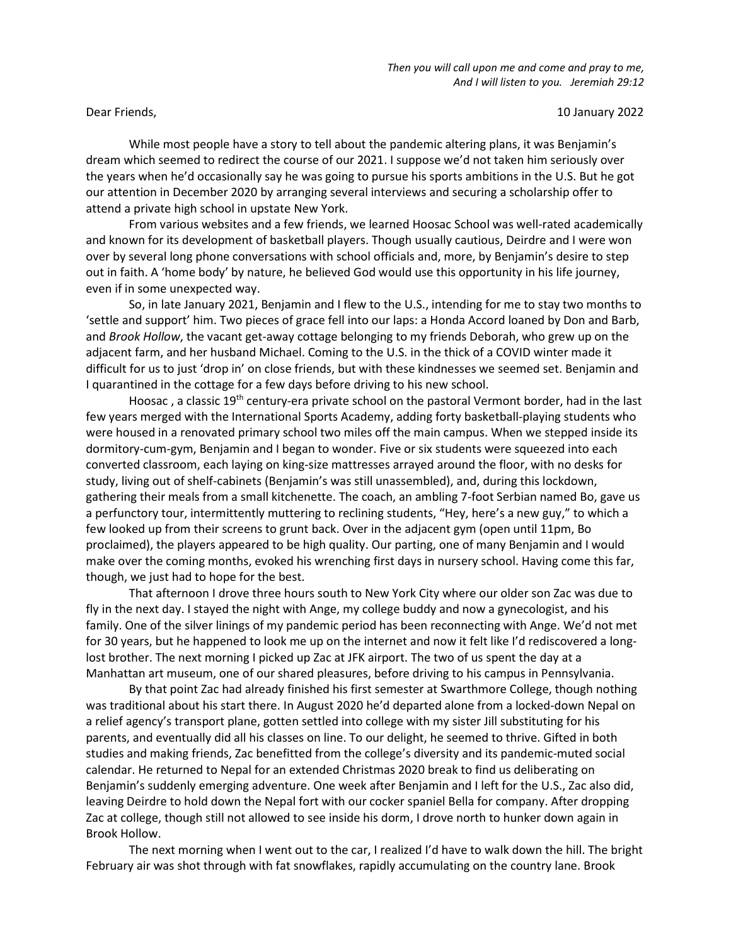Dear Friends, 10 January 2022

 While most people have a story to tell about the pandemic altering plans, it was Benjamin's dream which seemed to redirect the course of our 2021. I suppose we'd not taken him seriously over the years when he'd occasionally say he was going to pursue his sports ambitions in the U.S. But he got our attention in December 2020 by arranging several interviews and securing a scholarship offer to attend a private high school in upstate New York.

From various websites and a few friends, we learned Hoosac School was well-rated academically and known for its development of basketball players. Though usually cautious, Deirdre and I were won over by several long phone conversations with school officials and, more, by Benjamin's desire to step out in faith. A 'home body' by nature, he believed God would use this opportunity in his life journey, even if in some unexpected way.

 So, in late January 2021, Benjamin and I flew to the U.S., intending for me to stay two months to 'settle and support' him. Two pieces of grace fell into our laps: a Honda Accord loaned by Don and Barb, and Brook Hollow, the vacant get-away cottage belonging to my friends Deborah, who grew up on the adjacent farm, and her husband Michael. Coming to the U.S. in the thick of a COVID winter made it difficult for us to just 'drop in' on close friends, but with these kindnesses we seemed set. Benjamin and I quarantined in the cottage for a few days before driving to his new school.

Hoosac, a classic 19<sup>th</sup> century-era private school on the pastoral Vermont border, had in the last few years merged with the International Sports Academy, adding forty basketball-playing students who were housed in a renovated primary school two miles off the main campus. When we stepped inside its dormitory-cum-gym, Benjamin and I began to wonder. Five or six students were squeezed into each converted classroom, each laying on king-size mattresses arrayed around the floor, with no desks for study, living out of shelf-cabinets (Benjamin's was still unassembled), and, during this lockdown, gathering their meals from a small kitchenette. The coach, an ambling 7-foot Serbian named Bo, gave us a perfunctory tour, intermittently muttering to reclining students, "Hey, here's a new guy," to which a few looked up from their screens to grunt back. Over in the adjacent gym (open until 11pm, Bo proclaimed), the players appeared to be high quality. Our parting, one of many Benjamin and I would make over the coming months, evoked his wrenching first days in nursery school. Having come this far, though, we just had to hope for the best.

 That afternoon I drove three hours south to New York City where our older son Zac was due to fly in the next day. I stayed the night with Ange, my college buddy and now a gynecologist, and his family. One of the silver linings of my pandemic period has been reconnecting with Ange. We'd not met for 30 years, but he happened to look me up on the internet and now it felt like I'd rediscovered a longlost brother. The next morning I picked up Zac at JFK airport. The two of us spent the day at a Manhattan art museum, one of our shared pleasures, before driving to his campus in Pennsylvania.

 By that point Zac had already finished his first semester at Swarthmore College, though nothing was traditional about his start there. In August 2020 he'd departed alone from a locked-down Nepal on a relief agency's transport plane, gotten settled into college with my sister Jill substituting for his parents, and eventually did all his classes on line. To our delight, he seemed to thrive. Gifted in both studies and making friends, Zac benefitted from the college's diversity and its pandemic-muted social calendar. He returned to Nepal for an extended Christmas 2020 break to find us deliberating on Benjamin's suddenly emerging adventure. One week after Benjamin and I left for the U.S., Zac also did, leaving Deirdre to hold down the Nepal fort with our cocker spaniel Bella for company. After dropping Zac at college, though still not allowed to see inside his dorm, I drove north to hunker down again in Brook Hollow.

The next morning when I went out to the car, I realized I'd have to walk down the hill. The bright February air was shot through with fat snowflakes, rapidly accumulating on the country lane. Brook